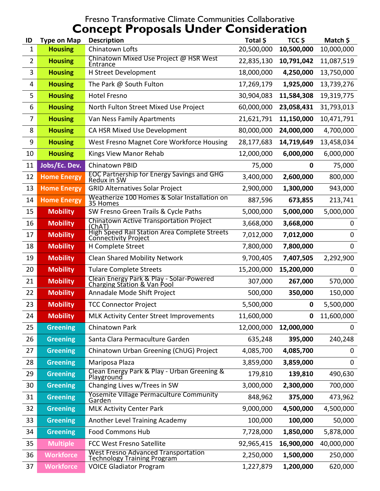#### Fresno Transformative Climate Communities Collaborative Concept Proposals Under Consideration

| ID             | <b>Type on Map</b>                                        | <b>Description</b>                                                               | Total \$   | TCC <sub>S</sub> | Match \$    |
|----------------|-----------------------------------------------------------|----------------------------------------------------------------------------------|------------|------------------|-------------|
| 1              | <b>Housing</b>                                            | Chinatown Lofts                                                                  | 20,500,000 | 10,500,000       | 10,000,000  |
| $\overline{2}$ | <b>Housing</b>                                            | Chinatown Mixed Use Project @ HSR West<br>Entrance                               | 22,835,130 | 10,791,042       | 11,087,519  |
| 3              | <b>Housing</b>                                            | H Street Development                                                             | 18,000,000 | 4,250,000        | 13,750,000  |
| 4              | <b>Housing</b>                                            | The Park @ South Fulton                                                          | 17,269,179 | 1,925,000        | 13,739,276  |
| 5              | <b>Housing</b>                                            | <b>Hotel Fresno</b>                                                              | 30,904,083 | 11,584,308       | 19,319,775  |
| 6              | <b>Housing</b>                                            | North Fulton Street Mixed Use Project                                            | 60,000,000 | 23,058,431       | 31,793,013  |
| 7              | <b>Housing</b>                                            | Van Ness Family Apartments                                                       | 21,621,791 | 11,150,000       | 10,471,791  |
| 8              | <b>Housing</b>                                            | CA HSR Mixed Use Development                                                     | 80,000,000 | 24,000,000       | 4,700,000   |
| 9              | <b>Housing</b>                                            | West Fresno Magnet Core Workforce Housing                                        | 28,177,683 | 14,719,649       | 13,458,034  |
| 10             | <b>Housing</b>                                            | Kings View Manor Rehab                                                           | 12,000,000 | 6,000,000        | 6,000,000   |
| 11             | Jobs/Ec. Dev.                                             | <b>Chinatown PBID</b>                                                            | 75,000     | 0                | 75,000      |
| 12             | <b>Home Energy</b>                                        | <b>EOC Partnership for Energy Savings and GHG</b><br>Redux in SW                 | 3,400,000  | 2,600,000        | 800,000     |
| 13             | <b>Home Energy</b>                                        | <b>GRID Alternatives Solar Project</b>                                           | 2,900,000  | 1,300,000        | 943,000     |
| 14             | <b>Home Energy</b>                                        | Weatherize 100 Homes & Solar Installation on<br>35 Homes                         | 887,596    | 673,855          | 213,741     |
| 15             | <b>Mobility</b>                                           | SW Fresno Green Trails & Cycle Paths                                             | 5,000,000  | 5,000,000        | 5,000,000   |
| 16             | <b>Mobility</b>                                           | Chinatown Active Transportation Project<br>(ChAT)                                | 3,668,000  | 3,668,000        | 0           |
| 17             | <b>Mobility</b>                                           | <b>High Speed Rail Station Area Complete Streets</b><br>Connectivity Project     | 7,012,000  | 7,012,000        | 0           |
| 18             | <b>Mobility</b>                                           | H Complete Street                                                                | 7,800,000  | 7,800,000        | 0           |
| 19             | <b>Mobility</b>                                           | <b>Clean Shared Mobility Network</b>                                             | 9,700,405  | 7,407,505        | 2,292,900   |
| 20             | <b>Mobility</b>                                           | <b>Tulare Complete Streets</b>                                                   | 15,200,000 | 15,200,000       | $\mathbf 0$ |
| 21             | <b>Mobility</b>                                           | Clean Energy Park & Play - Solar-Powered<br>Charging Station & Van Pool          | 307,000    | 267,000          | 570,000     |
| 22             | <b>Mobility</b><br>Annadale Mode Shift Project<br>500,000 |                                                                                  | 350,000    | 150,000          |             |
| 23             | <b>Mobility</b><br><b>TCC Connector Project</b>           |                                                                                  | 5,500,000  | $\mathbf 0$      | 5,500,000   |
| 24             | <b>Mobility</b>                                           | <b>MLK Activity Center Street Improvements</b>                                   | 11,600,000 | 0                | 11,600,000  |
| 25             | <b>Greening</b>                                           | Chinatown Park                                                                   | 12,000,000 | 12,000,000       | 0           |
| 26             | <b>Greening</b>                                           | Santa Clara Permaculture Garden                                                  | 635,248    | 395,000          | 240,248     |
| 27             | <b>Greening</b>                                           | Chinatown Urban Greening (ChUG) Project                                          | 4,085,700  | 4,085,700        | 0           |
| 28             | <b>Greening</b>                                           | Mariposa Plaza                                                                   | 3,859,000  | 3,859,000        | 0           |
| 29             | <b>Greening</b>                                           | Clean Energy Park & Play - Urban Greening &<br>Playground                        | 179,810    | 139,810          | 490,630     |
| 30             | <b>Greening</b>                                           | Changing Lives w/Trees in SW                                                     | 3,000,000  | 2,300,000        | 700,000     |
| 31             | <b>Greening</b>                                           | <b>Yosemite Village Permaculture Community</b><br>Garden                         | 848,962    | 375,000          | 473,962     |
| 32             | <b>Greening</b>                                           | <b>MLK Activity Center Park</b>                                                  | 9,000,000  | 4,500,000        | 4,500,000   |
| 33             | <b>Greening</b>                                           | Another Level Training Academy                                                   | 100,000    | 100,000          | 50,000      |
| 34             | <b>Greening</b>                                           | <b>Food Commons Hub</b>                                                          | 7,728,000  | 1,850,000        | 5,878,000   |
| 35             | <b>Multiple</b>                                           | <b>FCC West Fresno Satellite</b>                                                 | 92,965,415 | 16,900,000       | 40,000,000  |
| 36             | <b>Workforce</b>                                          | <b>West Fresno Advanced Transportation</b><br><b>Technology Training Program</b> | 2,250,000  | 1,500,000        | 250,000     |
| 37             | <b>Workforce</b>                                          | <b>VOICE Gladiator Program</b>                                                   | 1,227,879  | 1,200,000        | 620,000     |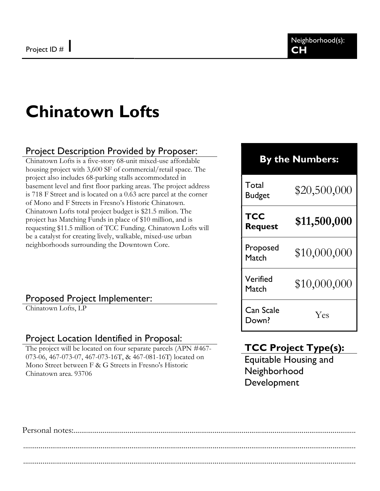# Chinatown Lofts

### Project Description Provided by Proposer:

Chinatown Lofts is a five-story 68-unit mixed-use affordable housing project with 3,600 SF of commercial/retail space. The project also includes 68-parking stalls accommodated in basement level and first floor parking areas. The project address is 718 F Street and is located on a 0.63 acre parcel at the corner of Mono and F Streets in Fresno's Historic Chinatown. Chinatown Lofts total project budget is \$21.5 milion. The project has Matching Funds in place of \$10 million, and is requesting \$11.5 million of TCC Funding. Chinatown Lofts will be a catalyst for creating lively, walkable, mixed-use urban neighborhoods surrounding the Downtown Core.

#### Proposed Project Implementer:

Chinatown Lofts, LP

#### Project Location Identified in Proposal:

The project will be located on four separate parcels (APN #467- 073-06, 467-073-07, 467-073-16T, & 467-081-16T) located on Mono Street between F & G Streets in Fresno's Historic Chinatown area. 93706

# By the Numbers:

Total Budget  $$20,500,000$ **TCC** Request  $$11,500,000$ Proposed  $M_{\text{atch}}$  \$10,000,000

Verified  $M_{\text{atch}}$  \$10,000,000 Can Scale

Down? Yes

### TCC Project Type(s):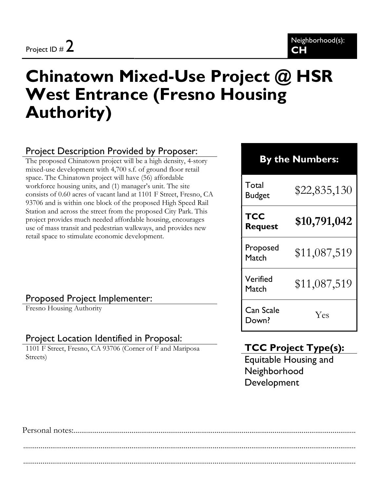# Chinatown Mixed-Use Project @ HSR West Entrance (Fresno Housing Authority)

### Project Description Provided by Proposer:

The proposed Chinatown project will be a high density, 4-story mixed-use development with 4,700 s.f. of ground floor retail space. The Chinatown project will have (56) affordable workforce housing units, and (1) manager's unit. The site consists of 0.60 acres of vacant land at 1101 F Street, Fresno, CA 93706 and is within one block of the proposed High Speed Rail Station and across the street from the proposed City Park. This project provides much needed affordable housing, encourages use of mass transit and pedestrian walkways, and provides new retail space to stimulate economic development.

#### Proposed Project Implementer:

Fresno Housing Authority

#### Project Location Identified in Proposal:

1101 F Street, Fresno, CA 93706 (Corner of F and Mariposa Streets)

# By the Numbers:

Total  $\frac{10 \text{ rad}}{322,835,130}$ 

**TCC** 

Can Scale

Request  $$10,791,042$ 

Proposed

 $Match$  \$11,087,519

Verified Match  $$11,087,519$ 

Down? Yes

### TCC Project Type(s):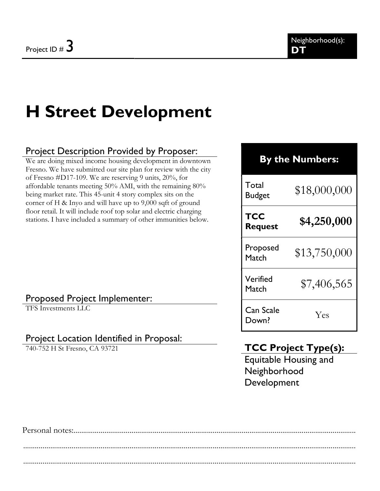# H Street Development

### Project Description Provided by Proposer:

We are doing mixed income housing development in downtown Fresno. We have submitted our site plan for review with the city of Fresno #D17-109. We are reserving 9 units, 20%, for affordable tenants meeting 50% AMI, with the remaining 80% being market rate. This 45-unit 4 story complex sits on the corner of H & Inyo and will have up to 9,000 sqft of ground floor retail. It will include roof top solar and electric charging stations. I have included a summary of other immunities below.

#### Proposed Project Implementer: TFS Investments LLC

# Project Location Identified in Proposal:

740-752 H St Fresno, CA 93721

### By the Numbers:

Total Budget  $$18,000,000$ 

**TCC** 

Request  $$4,250,000$ 

Proposed  $M_{\text{atch}}$  \$13,750,000

Verified Match  $$7,406,565$ 

Can Scale Down? Yes

# TCC Project Type(s):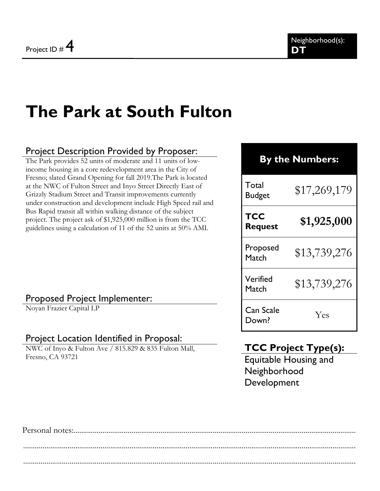# The Park at South Fulton

### Project Description Provided by Proposer:

The Park provides 52 units of moderate and 11 units of lowincome housing in a core redevelopment area in the City of Fresno; slated Grand Opening for fall 2019.The Park is located at the NWC of Fulton Street and Inyo Street Directly East of Grizzly Stadium Street and Transit improvements currently under construction and development include High Speed rail and Bus Rapid transit all within walking distance of the subject project. The project ask of \$1,925,000 million is from the TCC guidelines using a calculation of 11 of the 52 units at 50% AMI.

# By the Numbers:

Total Budget  $$17,269,179$ **TCC** Request  $$1,925,000$ Proposed  $Match$  \$13,739,276 Verified Match  $$13,739,276$ 

#### Proposed Project Implementer:

Noyan Frazier Capital LP

#### Project Location Identified in Proposal:

NWC of Inyo & Fulton Ave / 815.829 & 835 Fulton Mall, Fresno, CA 93721

# TCC Project Type(s):

Down? Yes

Can Scale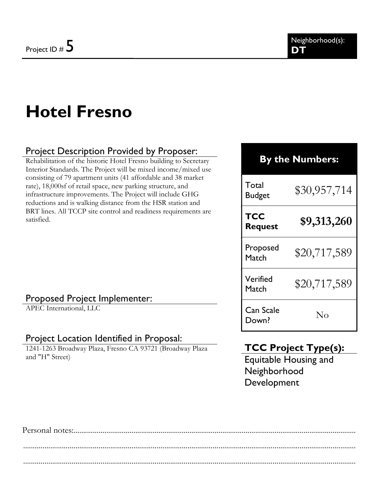# Hotel Fresno

### Project Description Provided by Proposer:

Rehabilitation of the historic Hotel Fresno building to Secretary Interior Standards. The Project will be mixed income/mixed use consisting of 79 apartment units (41 affordable and 38 market rate), 18,000sf of retail space, new parking structure, and infrastructure improvements. The Project will include GHG reductions and is walking distance from the HSR station and BRT lines. All TCCP site control and readiness requirements are satisfied.

#### Proposed Project Implementer:

APEC International, LLC

#### Project Location Identified in Proposal:

1241-1263 Broadway Plaza, Fresno CA 93721 (Broadway Plaza and "H" Street)

# By the Numbers:

Total Budget  $$30,957,714$ 

**TCC** 

Can Scale

Request  $$9,313,260$ 

Proposed  $P$ roposed  $$20,717,589$ 

Verified  $M_{\text{batch}}$  \$20,717,589

Lan Scale No<br>Down? No

### TCC Project Type(s):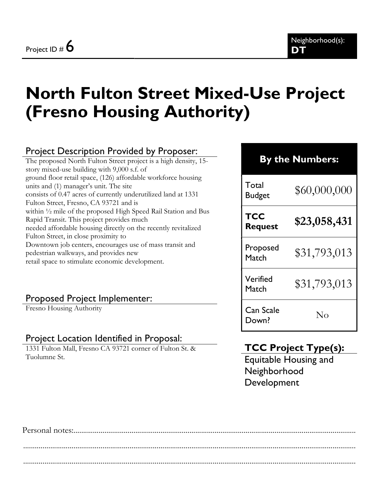# North Fulton Street Mixed-Use Project (Fresno Housing Authority)

# Project Description Provided by Proposer:

The proposed North Fulton Street project is a high density, 15 story mixed-use building with 9,000 s.f. of ground floor retail space, (126) affordable workforce housing units and (1) manager's unit. The site consists of 0.47 acres of currently underutilized land at 1331 Fulton Street, Fresno, CA 93721 and is within ½ mile of the proposed High Speed Rail Station and Bus Rapid Transit. This project provides much needed affordable housing directly on the recently revitalized Fulton Street, in close proximity to Downtown job centers, encourages use of mass transit and pedestrian walkways, and provides new retail space to stimulate economic development.

#### Proposed Project Implementer:

Fresno Housing Authority

#### Project Location Identified in Proposal:

1331 Fulton Mall, Fresno CA 93721 corner of Fulton St. & Tuolumne St.

| <b>By the Numbers:</b> |              |  |
|------------------------|--------------|--|
| Total<br><b>Budget</b> | \$60,000,000 |  |
| TCC<br><b>Request</b>  | \$23,058,431 |  |
| Proposed<br>Match      | \$31,793,013 |  |
| Verified<br>Match      | \$31,793,013 |  |
| Can Scale<br>Down?     | Nο           |  |

### TCC Project Type(s):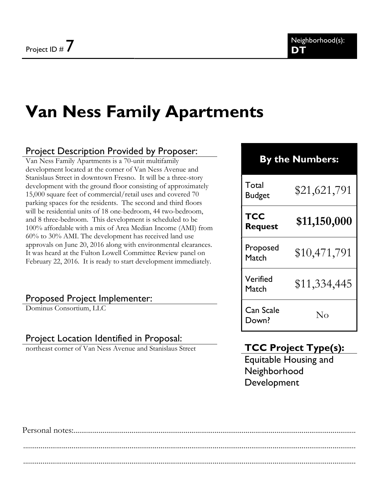# Van Ness Family Apartments

### Project Description Provided by Proposer:

Van Ness Family Apartments is a 70-unit multifamily development located at the corner of Van Ness Avenue and Stanislaus Street in downtown Fresno. It will be a three-story development with the ground floor consisting of approximately 15,000 square feet of commercial/retail uses and covered 70 parking spaces for the residents. The second and third floors will be residential units of 18 one-bedroom, 44 two-bedroom, and 8 three-bedroom. This development is scheduled to be 100% affordable with a mix of Area Median Income (AMI) from 60% to 30% AMI. The development has received land use approvals on June 20, 2016 along with environmental clearances. It was heard at the Fulton Lowell Committee Review panel on February 22, 2016. It is ready to start development immediately.

#### Proposed Project Implementer:

Dominus Consortium, LLC

#### Project Location Identified in Proposal:

northeast corner of Van Ness Avenue and Stanislaus Street

### By the Numbers:

| Total<br><b>Budget</b> | \$21,621,791 |
|------------------------|--------------|
| TCC<br><b>Request</b>  | \$11,150,000 |
| Proposed<br>Match      | \$10,471,791 |
| Verified<br>Match      | \$11,334,445 |
| Can Scale<br>Down?     | Nο           |

### TCC Project Type(s):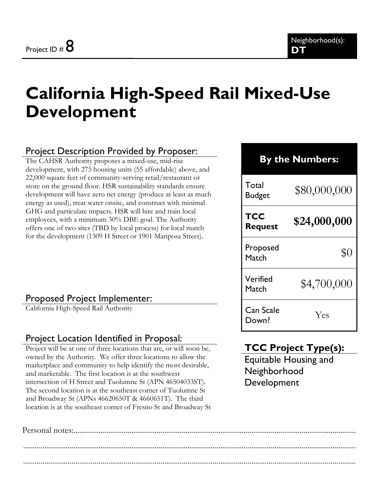# California High-Speed Rail Mixed-Use Development

### Project Description Provided by Proposer:

The CAHSR Authority proposes a mixed-use, mid-rise development, with 275 housing units (55 affordable) above, and 22,000 square feet of community-serving retail/restaurant or store on the ground floor. HSR sustainability standards ensure development will have zero net energy (produce at least as much energy as used), treat water onsite, and construct with minimal GHG and particulate impacts. HSR will hire and train local employees, with a minimum 30% DBE goal. The Authority offers one of two sites (TBD by local process) for local match for the development (1309 H Street or 1901 Mariposa Street).

#### Proposed Project Implementer:

California High-Speed Rail Authority

#### Project Location Identified in Proposal:

Project will be at one of three locations that are, or will soon be, owned by the Authority. We offer three locations to allow the marketplace and community to help identify the most desirable, and marketable. The first location is at the southwest intersection of H Street and Tuolumne St (APN 46504033ST). The second location is at the southeast corner of Tuolumne St and Broadway St (APNs 46620650T & 4660651T). The third location is at the southeast corner of Fresno St and Broadway St

# By the Numbers: Total  $\frac{10}{4}$   $\frac{10}{4}$   $\frac{10}{4}$   $\frac{10}{4}$   $\frac{10}{4}$   $\frac{10}{4}$   $\frac{10}{4}$   $\frac{10}{4}$   $\frac{10}{4}$ **TCC** Request  $$24,000,000$ Proposed Match \$0 Verified  $M_{\text{atch}}$  \$4,700,000 Can Scale Down? Yes

# TCC Project Type(s):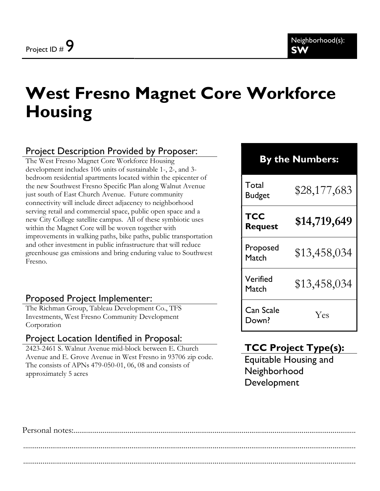# West Fresno Magnet Core Workforce **Housing**

### Project Description Provided by Proposer:

The West Fresno Magnet Core Workforce Housing development includes 106 units of sustainable 1-, 2-, and 3 bedroom residential apartments located within the epicenter of the new Southwest Fresno Specific Plan along Walnut Avenue just south of East Church Avenue. Future community connectivity will include direct adjacency to neighborhood serving retail and commercial space, public open space and a new City College satellite campus. All of these symbiotic uses within the Magnet Core will be woven together with improvements in walking paths, bike paths, public transportation and other investment in public infrastructure that will reduce greenhouse gas emissions and bring enduring value to Southwest Fresno.

#### Proposed Project Implementer:

The Richman Group, Tableau Development Co., TFS Investments, West Fresno Community Development Corporation

#### Project Location Identified in Proposal:

2423-2461 S. Walnut Avenue mid-block between E. Church Avenue and E. Grove Avenue in West Fresno in 93706 zip code. The consists of APNs 479-050-01, 06, 08 and consists of approximately 5 acres

# By the Numbers:

| Total<br>Budget       | \$28,177,683 |
|-----------------------|--------------|
| TCC<br><b>Request</b> | \$14,719,649 |
| Proposed<br>Match     | \$13,458,034 |
| Verified<br>Match     | \$13,458,034 |
| Can Scale<br>Down?    | Yes          |

### TCC Project Type(s):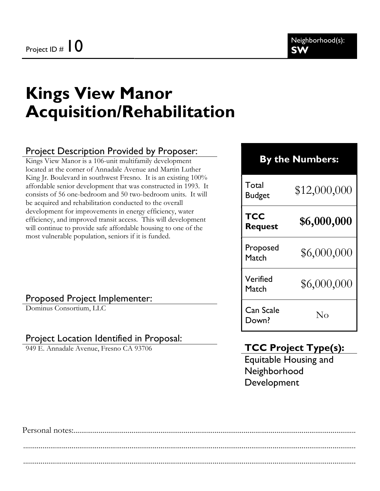# Kings View Manor Acquisition/Rehabilitation

### Project Description Provided by Proposer:

Kings View Manor is a 106-unit multifamily development located at the corner of Annadale Avenue and Martin Luther King Jr. Boulevard in southwest Fresno. It is an existing  $100\%$ affordable senior development that was constructed in 1993. It consists of 56 one-bedroom and 50 two-bedroom units. It will be acquired and rehabilitation conducted to the overall development for improvements in energy efficiency, water efficiency, and improved transit access. This will development will continue to provide safe affordable housing to one of the most vulnerable population, seniors if it is funded.

#### Proposed Project Implementer:

Dominus Consortium, LLC

#### Project Location Identified in Proposal:

949 E. Annadale Avenue, Fresno CA 93706

### By the Numbers:

| Total<br><b>Budget</b> | \$12,000,000 |
|------------------------|--------------|
| TCC<br><b>Request</b>  | \$6,000,000  |
| Proposed<br>Match      | \$6,000,000  |
| Verified<br>Match      | \$6,000,000  |
| Can Scale<br>Down?     | Nο           |

### TCC Project Type(s):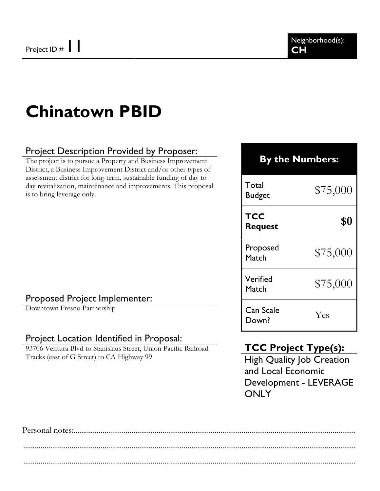# Chinatown PBID

### Project Description Provided by Proposer:

The project is to pursue a Property and Business Improvement District, a Business Improvement District and/or other types of assessment district for long-term, sustainable funding of day to day revitalization, maintenance and improvements. This proposal is to bring leverage only.

#### Proposed Project Implementer:

Downtown Fresno Partnership

#### Project Location Identified in Proposal:

93706 Ventura Blvd to Stanislaus Street, Union Pacific Railroad Tracks (east of G Street) to CA Highway 99

#### By the Numbers:

Total  $\frac{10 \text{au}}{875,000}$ **TCC**  $\begin{array}{c} \text{R} \\ \text{Request} \end{array}$ \$0 Proposed Match \$75,000 Verified verilied \$75,000 Can Scale Lan Scale Yes<br>Down? Yes

#### TCC Project Type(s):

High Quality Job Creation and Local Economic Development - LEVERAGE **ONLY**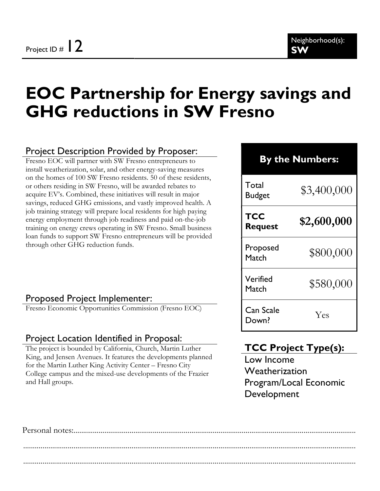# EOC Partnership for Energy savings and GHG reductions in SW Fresno

#### Project Description Provided by Proposer:

Fresno EOC will partner with SW Fresno entrepreneurs to install weatherization, solar, and other energy-saving measures on the homes of 100 SW Fresno residents. 50 of these residents, or others residing in SW Fresno, will be awarded rebates to acquire EV's. Combined, these initiatives will result in major savings, reduced GHG emissions, and vastly improved health. A job training strategy will prepare local residents for high paying energy employment through job readiness and paid on-the-job training on energy crews operating in SW Fresno. Small business loan funds to support SW Fresno entrepreneurs will be provided through other GHG reduction funds.

#### By the Numbers:

Total  $\frac{10 \text{au}}{83,400,000}$ **TCC** Request  $$2,600,000$ Proposed Match \$800,000 Verified Match \$580,000 Can Scale Down? Yes

#### Proposed Project Implementer:

Fresno Economic Opportunities Commission (Fresno EOC)

#### Project Location Identified in Proposal:

The project is bounded by California, Church, Martin Luther King, and Jensen Avenues. It features the developments planned for the Martin Luther King Activity Center – Fresno City College campus and the mixed-use developments of the Frazier and Hall groups.

### TCC Project Type(s):

Low Income Weatherization Program/Local Economic Development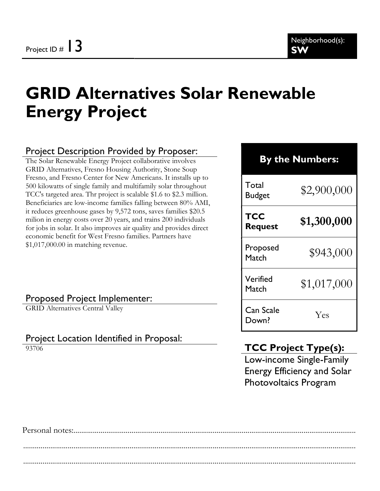# GRID Alternatives Solar Renewable Energy Project

#### Project Description Provided by Proposer:

The Solar Renewable Energy Project collaborative involves GRID Alternatives, Fresno Housing Authority, Stone Soup Fresno, and Fresno Center for New Americans. It installs up to 500 kilowatts of single family and multifamily solar throughout TCC's targeted area. Thr project is scalable \$1.6 to \$2.3 million. Beneficiaries are low-income families falling between 80% AMI, it reduces greenhouse gases by 9,572 tons, saves families \$20.5 milion in energy costs over 20 years, and trains 200 individuals for jobs in solar. It also improves air quality and provides direct economic benefit for West Fresno families. Partners have \$1,017,000.00 in matching revenue.

#### Proposed Project Implementer:

GRID Alternatives Central Valley

#### Project Location Identified in Proposal:

93706

# By the Numbers: Total  $\frac{10 \text{au}}{82,900,000}$ **TCC** Request  $$1,300,000$ Proposed Proposed \$943,000 Verified  $\frac{\text{Ver} \cdot \text{Meter}}{\text{Match}}$  \$1,017,000 Can Scale Down? Yes

# TCC Project Type(s):

Low-income Single-Family Energy Efficiency and Solar Photovoltaics Program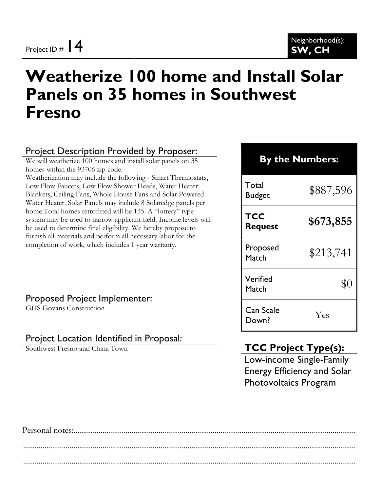# Weatherize 100 home and Install Solar Panels on 35 homes in Southwest Fresno

### Project Description Provided by Proposer:

We will weatherize 100 homes and install solar panels on 35 homes within the 93706 zip code. Weatherization may include the following - Smart Thermostats, Low Flow Faucets, Low Flow Shower Heads, Water Heater Blankets, Ceiling Fans, Whole House Fans and Solar Powered Water Heater. Solar Panels may include 8 Solaredge panels per home.Total homes retrofitted will be 135. A "lottery" type system may be used to narrow applicant field. Income levels will be used to determine final eligibility. We hereby propose to furnish all materials and perform all necessary labor for the completion of work, which includes 1 year warranty.

#### Proposed Project Implementer:

GHS Govans Construction

#### Project Location Identified in Proposal:

Southwest Fresno and China Town

### TCC Project Type(s):

Low-income Single-Family Energy Efficiency and Solar Photovoltaics Program

| <b>By the Numbers:</b> |           |
|------------------------|-----------|
| Total<br><b>Budget</b> | \$887,596 |
| TCC<br><b>Request</b>  | \$673,855 |
| Proposed<br>Match      | \$213,741 |
| Verified<br>Match      | \$0       |
| Can Scale<br>Down?     | Yes       |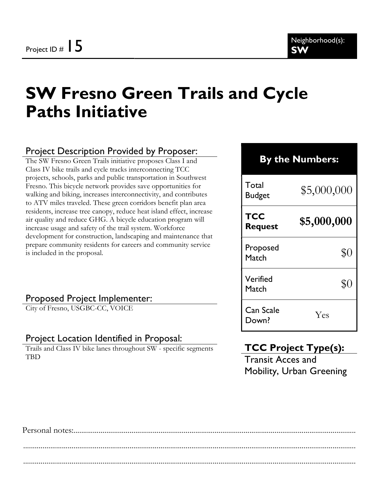# SW Fresno Green Trails and Cycle Paths Initiative

### Project Description Provided by Proposer:

The SW Fresno Green Trails initiative proposes Class I and Class IV bike trails and cycle tracks interconnecting TCC projects, schools, parks and public transportation in Southwest Fresno. This bicycle network provides save opportunities for walking and biking, increases interconnectivity, and contributes to ATV miles traveled. These green corridors benefit plan area residents, increase tree canopy, reduce heat island effect, increase air quality and reduce GHG. A bicycle education program will increase usage and safety of the trail system. Workforce development for construction, landscaping and maintenance that prepare community residents for careers and community service is included in the proposal.

#### Proposed Project Implementer:

City of Fresno, USGBC-CC, VOICE

#### Project Location Identified in Proposal:

Trails and Class IV bike lanes throughout SW - specific segments **TBD** 

# By the Numbers:

Total  $\frac{10 \text{au}}{1000}$  \$5,000,000 **TCC** Request  $$5,000,000$ Proposed Match \$0 Verified Match \$0 Can Scale Down? Yes

### TCC Project Type(s):

Transit Acces and Mobility, Urban Greening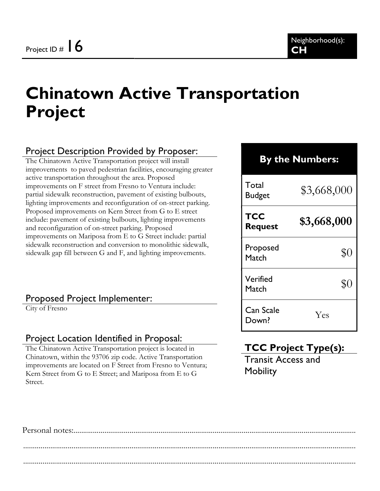# Chinatown Active Transportation Project

### Project Description Provided by Proposer:

The Chinatown Active Transportation project will install improvements to paved pedestrian facilities, encouraging greater active transportation throughout the area. Proposed improvements on F street from Fresno to Ventura include: partial sidewalk reconstruction, pavement of existing bulbouts, lighting improvements and reconfiguration of on-street parking. Proposed improvements on Kern Street from G to E street include: pavement of existing bulbouts, lighting improvements and reconfiguration of on-street parking. Proposed improvements on Mariposa from E to G Street include: partial sidewalk reconstruction and conversion to monolithic sidewalk, sidewalk gap fill between G and F, and lighting improvements.

#### Proposed Project Implementer:

City of Fresno

#### Project Location Identified in Proposal:

The Chinatown Active Transportation project is located in Chinatown, within the 93706 zip code. Active Transportation improvements are located on F Street from Fresno to Ventura; Kern Street from G to E Street; and Mariposa from E to G Street.

# By the Numbers: Total Budget  $$3,668,000$ **TCC** Request  $$3,668,000$ Proposed Match \$0 Verified Match \$0 Can Scale Down? Yes

# TCC Project Type(s):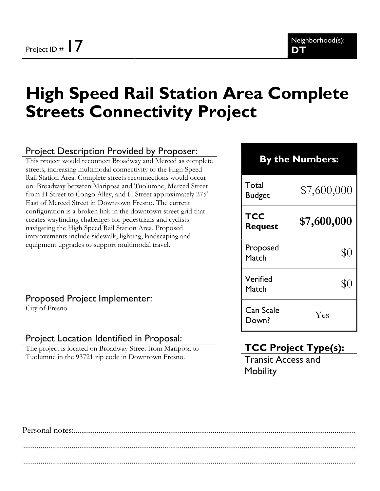# High Speed Rail Station Area Complete Streets Connectivity Project

#### Project Description Provided by Proposer:

This project would reconnect Broadway and Merced as complete streets, increasing multimodal connectivity to the High Speed Rail Station Area. Complete streets reconnections would occur on: Broadway between Mariposa and Tuolumne, Merced Street from H Street to Congo Alley, and H Street approximately 275' East of Merced Street in Downtown Fresno. The current configuration is a broken link in the downtown street grid that creates wayfinding challenges for pedestrians and cyclists navigating the High Speed Rail Station Area. Proposed improvements include sidewalk, lighting, landscaping and equipment upgrades to support multimodal travel.

#### Proposed Project Implementer:

City of Fresno

#### Project Location Identified in Proposal:

The project is located on Broadway Street from Mariposa to Tuolumne in the 93721 zip code in Downtown Fresno.

# By the Numbers:

Total  $\frac{10 \text{au}}{87,600,000}$ TCC Request  $$7,600,000$ Proposed Match \$0 Verified verified  $$0$ <br>Match  $$0$ Can Scale Down? Yes

# TCC Project Type(s):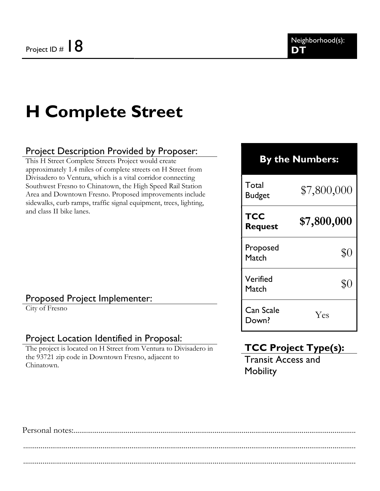# H Complete Street

### Project Description Provided by Proposer:

This H Street Complete Streets Project would create approximately 1.4 miles of complete streets on H Street from Divisadero to Ventura, which is a vital corridor connecting Southwest Fresno to Chinatown, the High Speed Rail Station Area and Downtown Fresno. Proposed improvements include sidewalks, curb ramps, traffic signal equipment, trees, lighting, and class II bike lanes.

#### Proposed Project Implementer:

City of Fresno

#### Project Location Identified in Proposal:

The project is located on H Street from Ventura to Divisadero in the 93721 zip code in Downtown Fresno, adjacent to Chinatown.

### By the Numbers:

Total Budget  $$7,800,000$ 

**TCC** 

Request  $$7,800,000$ 

Proposed Match \$0 Verified Match \$0 Can Scale

Down? Yes

# TCC Project Type(s):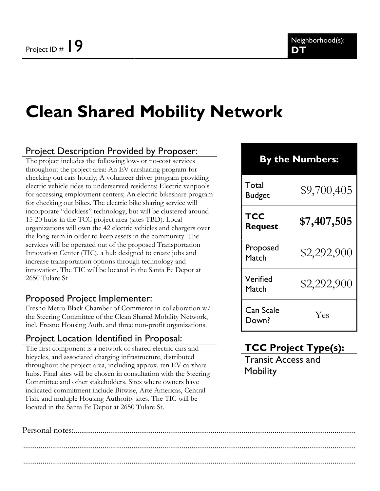# Clean Shared Mobility Network

### Project Description Provided by Proposer:

The project includes the following low- or no-cost services throughout the project area: An EV carsharing program for checking out cars hourly; A volunteer driver program providing electric vehicle rides to underserved residents; Electric vanpools for accessing employment centers; An electric bikeshare program for checking out bikes. The electric bike sharing service will incorporate "dockless" technology, but will be clustered around 15-20 hubs in the TCC project area (sites TBD). Local organizations will own the 42 electric vehicles and chargers over the long-term in order to keep assets in the community. The services will be operated out of the proposed Transportation Innovation Center (TIC), a hub designed to create jobs and increase transportation options through technology and innovation. The TIC will be located in the Santa Fe Depot at 2650 Tulare St

#### Proposed Project Implementer:

Fresno Metro Black Chamber of Commerce in collaboration w/ the Steering Committee of the Clean Shared Mobility Network, incl. Fresno Housing Auth. and three non-profit organizations.

#### Project Location Identified in Proposal:

The first component is a network of shared electric cars and bicycles, and associated charging infrastructure, distributed throughout the project area, including approx. ten EV carshare hubs. Final sites will be chosen in consultation with the Steering Committee and other stakeholders. Sites where owners have indicated commitment include Bitwise, Arte Americas, Central Fish, and multiple Housing Authority sites. The TIC will be located in the Santa Fe Depot at 2650 Tulare St.

# By the Numbers: Total  $\frac{10 \text{ rad}}{89,700,405}$ TCC Request  $$7,407,505$ Proposed  $Match$  \$2,292,900 Verified  $\frac{1}{2}$   $\frac{1}{2}$   $\frac{2}{2}$ ,  $\frac{292}{2}$ ,  $\frac{900}{2}$ Can Scale Down? Yes

# TCC Project Type(s):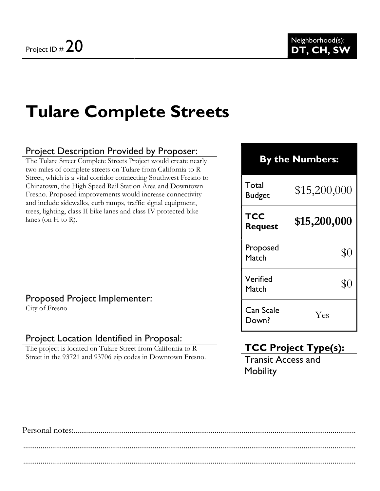# Tulare Complete Streets

### Project Description Provided by Proposer:

The Tulare Street Complete Streets Project would create nearly two miles of complete streets on Tulare from California to R Street, which is a vital corridor connecting Southwest Fresno to Chinatown, the High Speed Rail Station Area and Downtown Fresno. Proposed improvements would increase connectivity and include sidewalks, curb ramps, traffic signal equipment, trees, lighting, class II bike lanes and class IV protected bike lanes (on H to R).

#### Proposed Project Implementer:

City of Fresno

#### Project Location Identified in Proposal:

The project is located on Tulare Street from California to R Street in the 93721 and 93706 zip codes in Downtown Fresno.

| <b>By the Numbers:</b> |              |
|------------------------|--------------|
| Total<br><b>Budget</b> | \$15,200,000 |
| TCC<br><b>Request</b>  | \$15,200,000 |
| Proposed<br>Match      | $\$0$        |
| Verified<br>Match      | \$C          |
| Can Scale<br>Down?     | Yes          |

# TCC Project Type(s):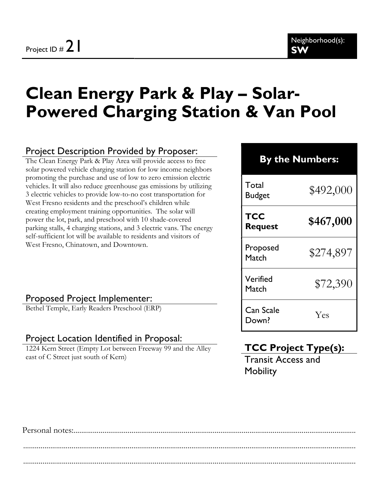# Clean Energy Park & Play – Solar-Powered Charging Station & Van Pool

### Project Description Provided by Proposer:

The Clean Energy Park & Play Area will provide access to free solar powered vehicle charging station for low income neighbors promoting the purchase and use of low to zero emission electric vehicles. It will also reduce greenhouse gas emissions by utilizing 3 electric vehicles to provide low-to-no cost transportation for West Fresno residents and the preschool's children while creating employment training opportunities. The solar will power the lot, park, and preschool with 10 shade-covered parking stalls, 4 charging stations, and 3 electric vans. The energy self-sufficient lot will be available to residents and visitors of West Fresno, Chinatown, and Downtown.

#### By the Numbers:

| Total<br><b>Budget</b> | \$492,000 |
|------------------------|-----------|
| TCC<br><b>Request</b>  | \$467,000 |
| Proposed<br>Match      | \$274,897 |
| Verified<br>Match      | \$72,390  |
| Can Scale<br>Down?     | Yes       |

#### Proposed Project Implementer:

Bethel Temple, Early Readers Preschool (ERP)

#### Project Location Identified in Proposal:

1224 Kern Street (Empty Lot between Freeway 99 and the Alley east of C Street just south of Kern)

# TCC Project Type(s):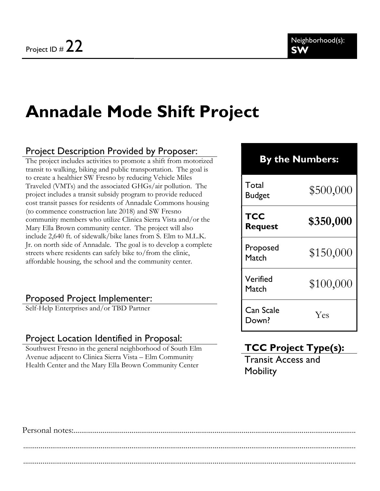# Annadale Mode Shift Project

### Project Description Provided by Proposer:

The project includes activities to promote a shift from motorized transit to walking, biking and public transportation. The goal is to create a healthier SW Fresno by reducing Vehicle Miles Traveled (VMTs) and the associated GHGs/air pollution. The project includes a transit subsidy program to provide reduced cost transit passes for residents of Annadale Commons housing (to commence construction late 2018) and SW Fresno community members who utilize Clinica Sierra Vista and/or the Mary Ella Brown community center. The project will also include 2,640 ft. of sidewalk/bike lanes from S. Elm to M.L.K. Jr. on north side of Annadale. The goal is to develop a complete streets where residents can safely bike to/from the clinic, affordable housing, the school and the community center.

#### Proposed Project Implementer:

Self-Help Enterprises and/or TBD Partner

#### Project Location Identified in Proposal:

Southwest Fresno in the general neighborhood of South Elm Avenue adjacent to Clinica Sierra Vista – Elm Community Health Center and the Mary Ella Brown Community Center

# By the Numbers: Total  $\frac{10 \text{au}}{100 \text{g}}$   $\frac{100 \text{au}}{100 \text{g}}$

| TCC<br><b>Request</b> | \$350,000 |
|-----------------------|-----------|
| Proposed<br>Match     | \$150,000 |
| Verified<br>Match     | \$100,000 |
| Can Scale<br>Down?    | Yes       |

# TCC Project Type(s):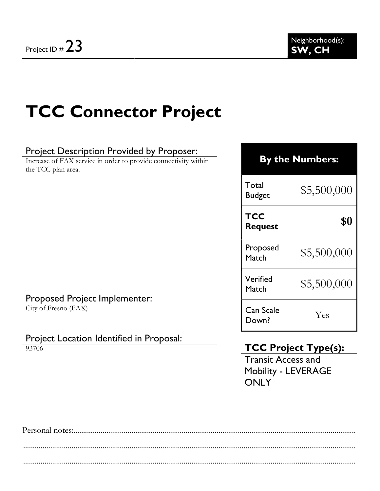# TCC Connector Project

### Project Description Provided by Proposer:

Increase of FAX service in order to provide connectivity within the TCC plan area.

### By the Numbers:

Total  $^{10}$ tal  $$5,500,000$ 

# **TCC**  $\begin{array}{ccc} \text{Rec} & \text{S0} \\ \text{Request} & \text{S1} \end{array}$ Proposed Proposed  $$5,500,000$

 $$5,500,000$   $$5,500,000$ 

#### Proposed Project Implementer:

City of Fresno (FAX)

#### Project Location Identified in Proposal:

93706

# TCC Project Type(s):

Lan Scale Yes Yes

Verified

Can Scale

Transit Access and Mobility - LEVERAGE **ONLY**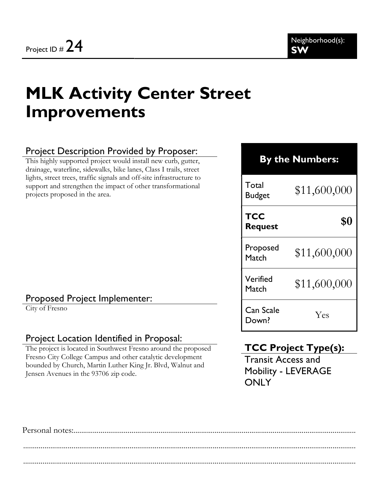# MLK Activity Center Street Improvements

### Project Description Provided by Proposer:

This highly supported project would install new curb, gutter, drainage, waterline, sidewalks, bike lanes, Class I trails, street lights, street trees, traffic signals and off-site infrastructure to support and strengthen the impact of other transformational projects proposed in the area.

### By the Numbers:

Total  $\frac{10}{2}$ Budget \$11,600,000 **TCC**  $\begin{array}{c} \text{Rec} \\ \text{Request} \end{array}$ \$0

Proposed  $M_{\text{atch}}$  \$11,600,000

 $M_{\text{atch}}$  \$11,600,000

Proposed Project Implementer:

City of Fresno

#### Project Location Identified in Proposal:

The project is located in Southwest Fresno around the proposed Fresno City College Campus and other catalytic development bounded by Church, Martin Luther King Jr. Blvd, Walnut and Jensen Avenues in the 93706 zip code.

#### TCC Project Type(s):

Transit Access and Mobility - LEVERAGE **ONLY** 

Down? Yes

Verified

Can Scale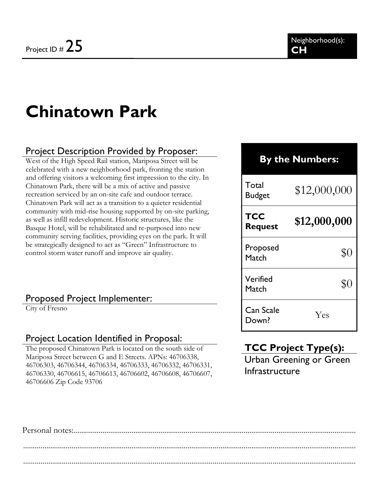# Chinatown Park

### Project Description Provided by Proposer:

West of the High Speed Rail station, Mariposa Street will be celebrated with a new neighborhood park, fronting the station and offering visitors a welcoming first impression to the city. In Chinatown Park, there will be a mix of active and passive recreation serviced by an on-site cafe and outdoor terrace. Chinatown Park will act as a transition to a quieter residential community with mid-rise housing supported by on-site parking, as well as infill redevelopment. Historic structures, like the Basque Hotel, will be rehabilitated and re-purposed into new community serving facilities, providing eyes on the park. It will be strategically designed to act as "Green" Infrastructure to control storm water runoff and improve air quality.

#### Proposed Project Implementer:

City of Fresno

#### Project Location Identified in Proposal:

The proposed Chinatown Park is located on the south side of Mariposa Street between G and E Streets. APNs: 46706338, 46706303, 46706344, 46706334, 46706333, 46706332, 46706331, 46706330, 46706615, 46706613, 46706602, 46706608, 46706607, 46706606 Zip Code 93706

#### By the Numbers:

| Total<br>Budget              | \$12,000,000 |
|------------------------------|--------------|
| <b>TCC</b><br><b>Request</b> | \$12,000,000 |
| Proposed<br>Match            | $\$0$        |
| Verified<br>Match            | \$ſ          |
| Can Scale<br>Down?           | Yes          |

### TCC Project Type(s):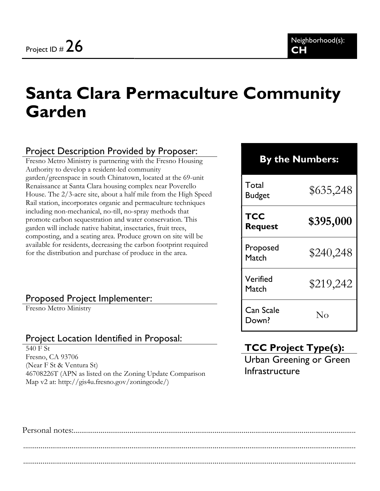# Santa Clara Permaculture Community Garden

### Project Description Provided by Proposer:

Fresno Metro Ministry is partnering with the Fresno Housing Authority to develop a resident-led community garden/greenspace in south Chinatown, located at the 69-unit Renaissance at Santa Clara housing complex near Poverello House. The 2/3-acre site, about a half mile from the High Speed Rail station, incorporates organic and permaculture techniques including non-mechanical, no-till, no-spray methods that promote carbon sequestration and water conservation. This garden will include native habitat, insectaries, fruit trees, composting, and a seating area. Produce grown on site will be available for residents, decreasing the carbon footprint required for the distribution and purchase of produce in the area.

#### Proposed Project Implementer:

Fresno Metro Ministry

### Project Location Identified in Proposal:

540 F St Fresno, CA 93706 (Near F St & Ventura St) 46708226T (APN as listed on the Zoning Update Comparison Map v2 at: http://gis4u.fresno.gov/zoningcode/)

| <b>By the Numbers:</b> |           |
|------------------------|-----------|
| Total<br><b>Budget</b> | \$635,248 |
| TCC<br><b>Request</b>  | \$395,000 |
| Proposed<br>Match      | \$240,248 |
| Verified<br>Match      | \$219,242 |
| Can Scale<br>Down?     | Nο        |

# TCC Project Type(s):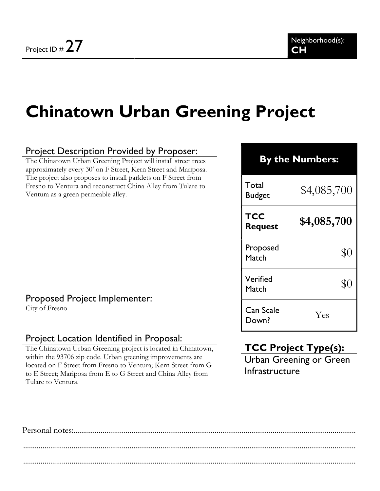# Chinatown Urban Greening Project

#### Project Description Provided by Proposer:

The Chinatown Urban Greening Project will install street trees approximately every 30' on F Street, Kern Street and Mariposa. The project also proposes to install parklets on F Street from Fresno to Ventura and reconstruct China Alley from Tulare to Ventura as a green permeable alley.

#### Proposed Project Implementer:

City of Fresno

#### Project Location Identified in Proposal:

The Chinatown Urban Greening project is located in Chinatown, within the 93706 zip code. Urban greening improvements are located on F Street from Fresno to Ventura; Kern Street from G to E Street; Mariposa from E to G Street and China Alley from Tulare to Ventura.

# By the Numbers: **Total** Budget  $$4,085,700$ **TCC** Request  $$4,085,700$ Proposed Match \$0 Verified Match \$0 Can Scale Down? Yes

# TCC Project Type(s):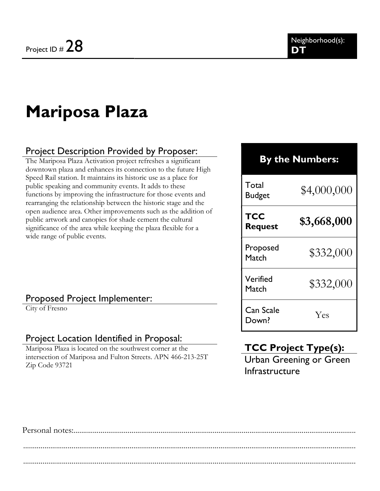# Mariposa Plaza

### Project Description Provided by Proposer:

The Mariposa Plaza Activation project refreshes a significant downtown plaza and enhances its connection to the future High Speed Rail station. It maintains its historic use as a place for public speaking and community events. It adds to these functions by improving the infrastructure for those events and rearranging the relationship between the historic stage and the open audience area. Other improvements such as the addition of public artwork and canopies for shade cement the cultural significance of the area while keeping the plaza flexible for a wide range of public events.

#### Proposed Project Implementer:

City of Fresno

#### Project Location Identified in Proposal:

Mariposa Plaza is located on the southwest corner at the intersection of Mariposa and Fulton Streets. APN 466-213-25T Zip Code 93721

#### By the Numbers:

Total Budget  $$4,000,000$ **TCC** Request  $$3,668,000$ Proposed  $Match$  \$332,000 Verified  $\text{Wartileu}$   $$332,000$ Can Scale Down? Yes

### TCC Project Type(s):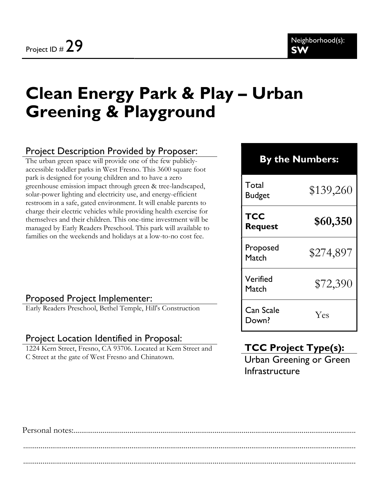# Clean Energy Park & Play – Urban Greening & Playground

### Project Description Provided by Proposer:

The urban green space will provide one of the few publiclyaccessible toddler parks in West Fresno. This 3600 square foot park is designed for young children and to have a zero greenhouse emission impact through green & tree-landscaped, solar-power lighting and electricity use, and energy-efficient restroom in a safe, gated environment. It will enable parents to charge their electric vehicles while providing health exercise for themselves and their children. This one-time investment will be managed by Early Readers Preschool. This park will available to families on the weekends and holidays at a low-to-no cost fee.

#### By the Numbers:

| Total<br><b>Budget</b> | \$139,260 |
|------------------------|-----------|
| TCC<br><b>Request</b>  | \$60,350  |
| Proposed<br>Match      | \$274,897 |
| Verified<br>Match      | \$72,390  |
| Can Scale<br>Down?     | Yes       |

#### Proposed Project Implementer:

Early Readers Preschool, Bethel Temple, Hill's Construction

#### Project Location Identified in Proposal:

1224 Kern Street, Fresno, CA 93706. Located at Kern Street and C Street at the gate of West Fresno and Chinatown.

# TCC Project Type(s):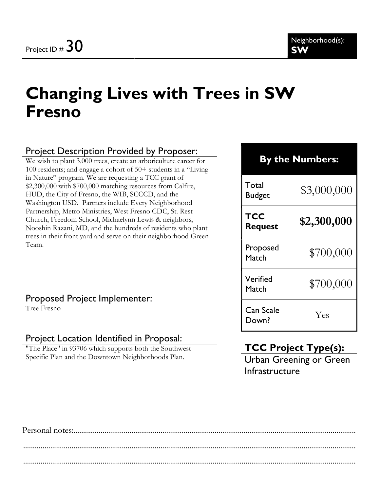# Changing Lives with Trees in SW Fresno

### Project Description Provided by Proposer:

We wish to plant 3,000 trees, create an arboriculture career for 100 residents; and engage a cohort of 50+ students in a "Living in Nature" program. We are requesting a TCC grant of \$2,300,000 with \$700,000 matching resources from Calfire, HUD, the City of Fresno, the WIB, SCCCD, and the Washington USD. Partners include Every Neighborhood Partnership, Metro Ministries, West Fresno CDC, St. Rest Church, Freedom School, Michaelynn Lewis & neighbors, Nooshin Razani, MD, and the hundreds of residents who plant trees in their front yard and serve on their neighborhood Green Team.

#### Proposed Project Implementer:

Tree Fresno

#### Project Location Identified in Proposal:

"The Place" in 93706 which supports both the Southwest Specific Plan and the Downtown Neighborhoods Plan.

# By the Numbers:

Total  $\frac{10 \text{au}}{83,000,000}$ **TCC** Request  $$2,300,000$ Proposed Match \$700,000

Verified  $\frac{4700,000}{5700,000}$ 

Down? Yes

# TCC Project Type(s):

Can Scale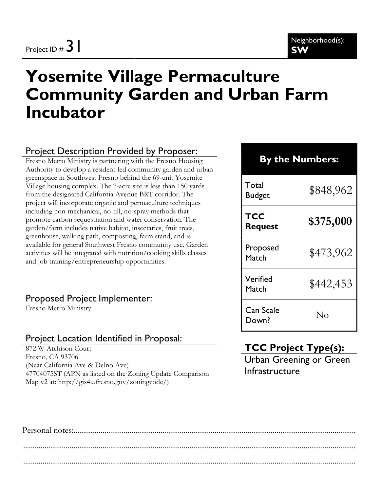# Yosemite Village Permaculture Community Garden and Urban Farm Incubator

### Project Description Provided by Proposer:

Fresno Metro Ministry is partnering with the Fresno Housing Authority to develop a resident-led community garden and urban greenspace in Southwest Fresno behind the 69-unit Yosemite Village housing complex. The 7-acre site is less than 150 yards from the designated California Avenue BRT corridor. The project will incorporate organic and permaculture techniques including non-mechanical, no-till, no-spray methods that promote carbon sequestration and water conservation. The garden/farm includes native habitat, insectaries, fruit trees, greenhouse, walking path, composting, farm stand, and is available for general Southwest Fresno community use. Garden activities will be integrated with nutrition/cooking skills classes and job training/entrepreneurship opportunities.

#### Proposed Project Implementer:

Fresno Metro Ministry

#### Project Location Identified in Proposal:

872 W Atchison Court Fresno, CA 93706 (Near California Ave & Delno Ave) 47704075ST (APN as listed on the Zoning Update Comparison Map v2 at: http://gis4u.fresno.gov/zoningcode/)

| <b>By the Numbers:</b> |              |  |
|------------------------|--------------|--|
| Total<br><b>Budget</b> | \$848,962    |  |
| TCC<br><b>Request</b>  | \$375,000    |  |
| Proposed<br>Match      | \$473,962    |  |
| Verified<br>Match      | \$442,453    |  |
| Can Scale<br>Down?     | $N_{\Omega}$ |  |

# TCC Project Type(s):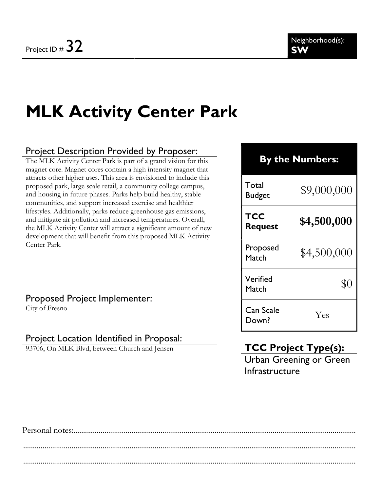# MLK Activity Center Park

### Project Description Provided by Proposer:

The MLK Activity Center Park is part of a grand vision for this magnet core. Magnet cores contain a high intensity magnet that attracts other higher uses. This area is envisioned to include this proposed park, large scale retail, a community college campus, and housing in future phases. Parks help build healthy, stable communities, and support increased exercise and healthier lifestyles. Additionally, parks reduce greenhouse gas emissions, and mitigate air pollution and increased temperatures. Overall, the MLK Activity Center will attract a significant amount of new development that will benefit from this proposed MLK Activity Center Park.

### By the Numbers:

| Total<br><b>Budget</b> | \$9,000,000 |
|------------------------|-------------|
| TCC<br><b>Request</b>  | \$4,500,000 |
| Proposed<br>Match      | \$4,500,000 |
| Verified<br>Match      | \$0         |
| Can Scale<br>Down?     | Yes         |

#### Proposed Project Implementer:

City of Fresno

#### Project Location Identified in Proposal:

93706, On MLK Blvd, between Church and Jensen

# TCC Project Type(s):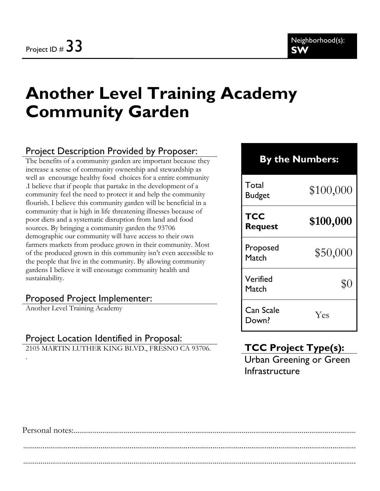# Another Level Training Academy Community Garden

### Project Description Provided by Proposer:

The benefits of a community garden are important because they increase a sense of community ownership and stewardship as well as encourage healthy food choices for a entire community .I believe that if people that partake in the development of a community feel the need to protect it and help the community flourish. I believe this community garden will be beneficial in a community that is high in life threatening illnesses because of poor diets and a systematic disruption from land and food sources. By bringing a community garden the 93706 demographic our community will have access to their own farmers markets from produce grown in their community. Most of the produced grown in this community isn't even accessible to the people that live in the community. By allowing community gardens I believe it will encourage community health and sustainability.

#### Proposed Project Implementer:

Another Level Training Academy

.

### Project Location Identified in Proposal:

2105 MARTIN LUTHER KING BLVD., FRESNO CA 93706.

# By the Numbers: Total  $\frac{10 \text{au}}{100,000}$ TCC Request  $$100,000$ Proposed  $Match$  \$50,000 Verified Match \$0 Can Scale Down? Yes

# TCC Project Type(s):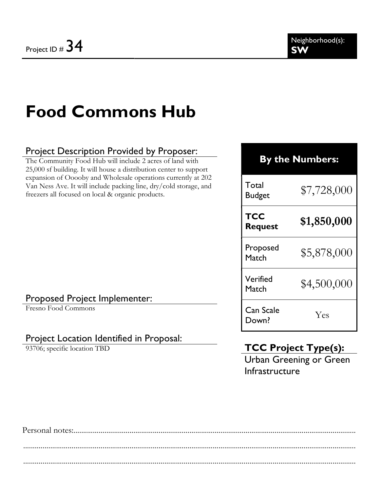# Food Commons Hub

### Project Description Provided by Proposer:

The Community Food Hub will include 2 acres of land with 25,000 sf building. It will house a distribution center to support expansion of Ooooby and Wholesale operations currently at 202 Van Ness Ave. It will include packing line, dry/cold storage, and freezers all focused on local & organic products.

# By the Numbers:

Total **Budget** 

Verified

Can Scale

|  | $\frac{1}{2}$ /, /28,000 |  |
|--|--------------------------|--|
|  |                          |  |

| TCC<br><b>Request</b> | \$1,850,000 |
|-----------------------|-------------|
| Proposed<br>Match     | \$5,878,000 |

 $$4,500,000$   $$4,500,000$ 

### Proposed Project Implementer:

Fresno Food Commons

### Project Location Identified in Proposal:

93706; specific location TBD

# TCC Project Type(s):

Down? Yes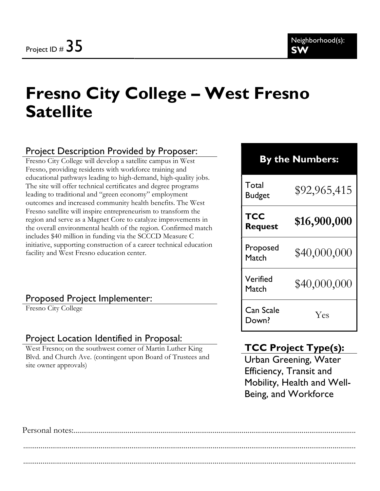# Fresno City College – West Fresno **Satellite**

### Project Description Provided by Proposer:

Fresno City College will develop a satellite campus in West Fresno, providing residents with workforce training and educational pathways leading to high-demand, high-quality jobs. The site will offer technical certificates and degree programs leading to traditional and "green economy" employment outcomes and increased community health benefits. The West Fresno satellite will inspire entrepreneurism to transform the region and serve as a Magnet Core to catalyze improvements in the overall environmental health of the region. Confirmed match includes \$40 million in funding via the SCCCD Measure C initiative, supporting construction of a career technical education facility and West Fresno education center.

#### Proposed Project Implementer:

Fresno City College

#### Project Location Identified in Proposal:

West Fresno; on the southwest corner of Martin Luther King Blvd. and Church Ave. (contingent upon Board of Trustees and site owner approvals)

# By the Numbers:

Total Budget  $$92,965,415$ **TCC** Request  $$16,900,000$ Proposed  $10^{10}$ Proposed \$40,000,000 Verified  $M_{\text{atch}}$  \$40,000,000 Can Scale Down? Yes

### TCC Project Type(s):

Urban Greening, Water Efficiency, Transit and Mobility, Health and Well-Being, and Workforce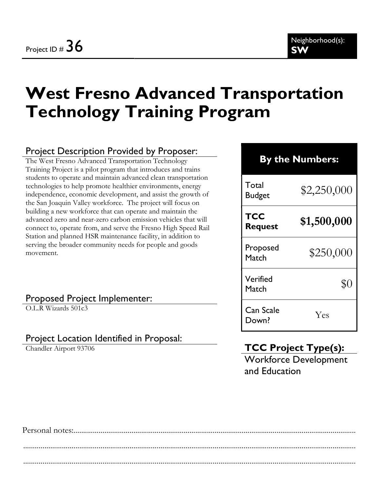# West Fresno Advanced Transportation Technology Training Program

### Project Description Provided by Proposer:

The West Fresno Advanced Transportation Technology Training Project is a pilot program that introduces and trains students to operate and maintain advanced clean transportation technologies to help promote healthier environments, energy independence, economic development, and assist the growth of the San Joaquin Valley workforce. The project will focus on building a new workforce that can operate and maintain the advanced zero and near-zero carbon emission vehicles that will connect to, operate from, and serve the Fresno High Speed Rail Station and planned HSR maintenance facility, in addition to serving the broader community needs for people and goods movement.

### By the Numbers:

Total  $\mu_{\text{Buget}}$  \$2,250,000 **TCC** Request  $$1,500,000$ Proposed  $M_{\text{atch}}$  \$250,000 Verified Match \$0 Can Scale Down? Yes

#### Proposed Project Implementer:

O.L.R Wizards 501c3

#### Project Location Identified in Proposal:

Chandler Airport 93706

# TCC Project Type(s):

Workforce Development and Education